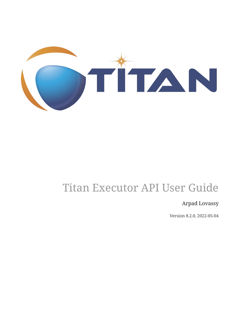

# Titan Executor API User Guide

#### Arpad Lovassy

Version 8.2.0, 2022-05-04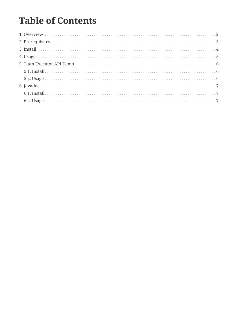## **Table of Contents**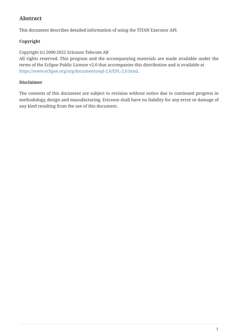#### **Abstract**

This document describes detailed information of using the TITAN Executor API.

#### **Copyright**

Copyright (c) 2000-2022 Ericsson Telecom AB

All rights reserved. This program and the accompanying materials are made available under the terms of the Eclipse Public License v2.0 that accompanies this distribution and is available at [https://www.eclipse.org/org/documents/epl-2.0/EPL-2.0.html.](https://www.eclipse.org/org/documents/epl-2.0/EPL-2.0.html)

#### **Disclaimer**

The contents of this document are subject to revision without notice due to continued progress in methodology, design and manufacturing. Ericsson shall have no liability for any error or damage of any kind resulting from the use of this document.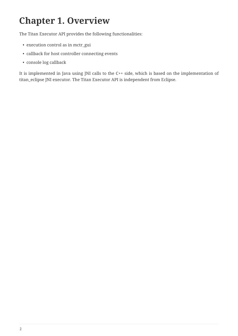## <span id="page-3-0"></span>**Chapter 1. Overview**

The Titan Executor API provides the following functionalities:

- execution control as in mctr\_gui
- callback for host controller connecting events
- console log callback

It is implemented in Java using JNI calls to the C++ side, which is based on the implementation of titan\_eclipse JNI executor. The Titan Executor API is independent from Eclipse.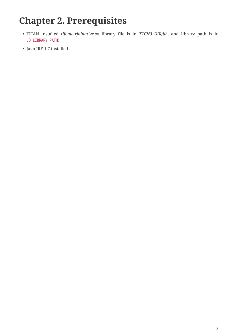## <span id="page-4-0"></span>**Chapter 2. Prerequisites**

- TITAN installed (*libmctrjninative.so* library file is in *TTCN3\_DIR/lib*, and library path is in LD\_LIBRARY\_PATH)
- Java JRE 1.7 installed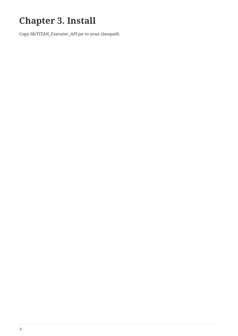# <span id="page-5-0"></span>**Chapter 3. Install**

Copy *lib/TITAN\_Executor\_API.jar* to your classpath.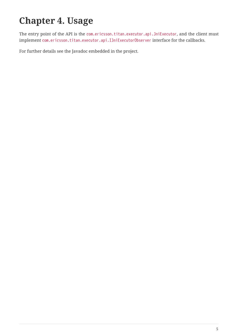# <span id="page-6-0"></span>**Chapter 4. Usage**

The entry point of the API is the com.ericsson.titan.executor.api.JniExecutor, and the client must implement com.ericsson.titan.executor.api.IJniExecutorObserver interface for the callbacks.

For further details see the Javadoc embedded in the project.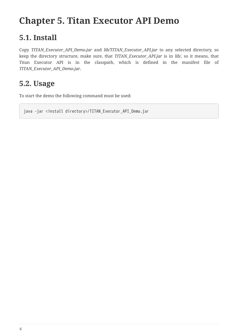## <span id="page-7-0"></span>**Chapter 5. Titan Executor API Demo**

### <span id="page-7-1"></span>**5.1. Install**

Copy *TITAN\_Executor\_API\_Demo.jar* and *lib/TITAN\_Executor\_API.jar* to any selected directory, so keep the directory structure, make sure, that *TITAN\_Executor\_API.jar* is in *lib/*, so it means, that Titan Executor API is in the classpath, which is defined in the manifest file of *TITAN\_Executor\_API\_Demo.jar*.

### <span id="page-7-2"></span>**5.2. Usage**

To start the demo the following command must be used:

java -jar <install directory>/TITAN\_Executor\_API\_Demo.jar